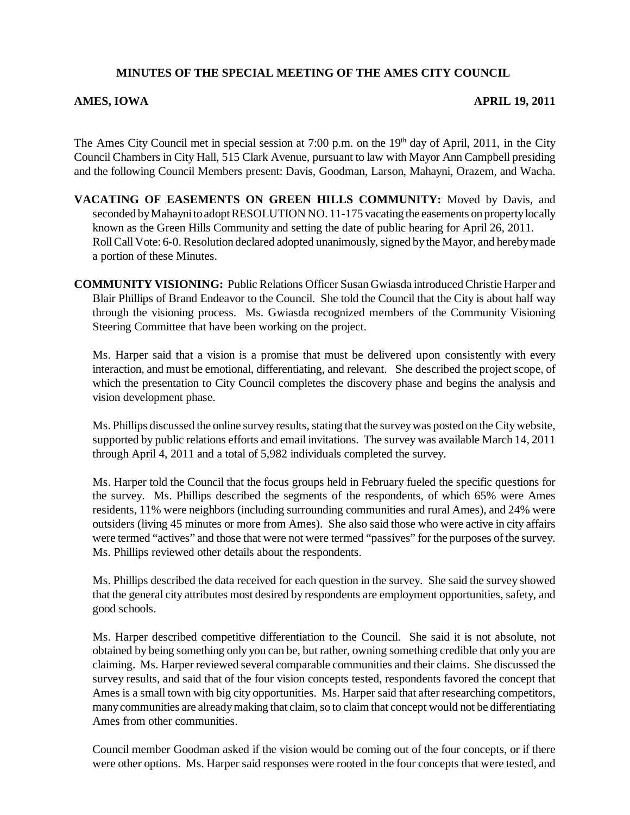## **MINUTES OF THE SPECIAL MEETING OF THE AMES CITY COUNCIL**

## **AMES, IOWA APRIL 19, 2011**

The Ames City Council met in special session at 7:00 p.m. on the 19<sup>th</sup> day of April, 2011, in the City Council Chambers in City Hall, 515 Clark Avenue, pursuant to law with Mayor Ann Campbell presiding and the following Council Members present: Davis, Goodman, Larson, Mahayni, Orazem, and Wacha.

- **VACATING OF EASEMENTS ON GREEN HILLS COMMUNITY:** Moved by Davis, and seconded by Mahayni to adopt RESOLUTION NO. 11-175 vacating the easements on property locally known as the Green Hills Community and setting the date of public hearing for April 26, 2011. Roll Call Vote: 6-0. Resolution declared adopted unanimously, signed by the Mayor, and hereby made a portion of these Minutes.
- **COMMUNITY VISIONING:** Public Relations Officer Susan Gwiasda introduced Christie Harper and Blair Phillips of Brand Endeavor to the Council. She told the Council that the City is about half way through the visioning process. Ms. Gwiasda recognized members of the Community Visioning Steering Committee that have been working on the project.

Ms. Harper said that a vision is a promise that must be delivered upon consistently with every interaction, and must be emotional, differentiating, and relevant. She described the project scope, of which the presentation to City Council completes the discovery phase and begins the analysis and vision development phase.

Ms. Phillips discussed the online survey results, stating that the survey was posted on the City website, supported by public relations efforts and email invitations. The survey was available March 14, 2011 through April 4, 2011 and a total of 5,982 individuals completed the survey.

Ms. Harper told the Council that the focus groups held in February fueled the specific questions for the survey. Ms. Phillips described the segments of the respondents, of which 65% were Ames residents, 11% were neighbors (including surrounding communities and rural Ames), and 24% were outsiders (living 45 minutes or more from Ames). She also said those who were active in city affairs were termed "actives" and those that were not were termed "passives" for the purposes of the survey. Ms. Phillips reviewed other details about the respondents.

Ms. Phillips described the data received for each question in the survey. She said the survey showed that the general city attributes most desired by respondents are employment opportunities, safety, and good schools.

Ms. Harper described competitive differentiation to the Council. She said it is not absolute, not obtained by being something only you can be, but rather, owning something credible that only you are claiming. Ms. Harper reviewed several comparable communities and their claims. She discussed the survey results, and said that of the four vision concepts tested, respondents favored the concept that Ames is a small town with big city opportunities. Ms. Harper said that after researching competitors, many communities are already making that claim, so to claim that concept would not be differentiating Ames from other communities.

Council member Goodman asked if the vision would be coming out of the four concepts, or if there were other options. Ms. Harper said responses were rooted in the four concepts that were tested, and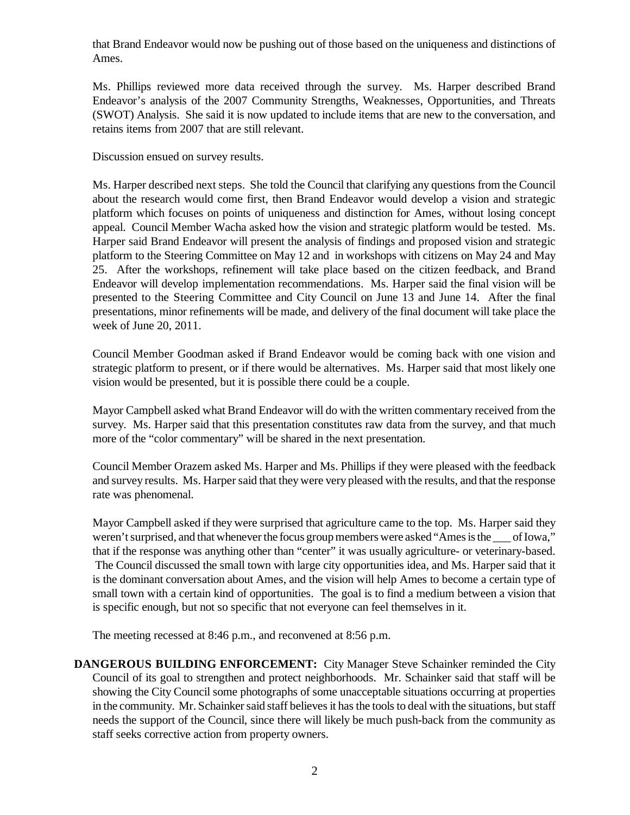that Brand Endeavor would now be pushing out of those based on the uniqueness and distinctions of Ames.

Ms. Phillips reviewed more data received through the survey. Ms. Harper described Brand Endeavor's analysis of the 2007 Community Strengths, Weaknesses, Opportunities, and Threats (SWOT) Analysis. She said it is now updated to include items that are new to the conversation, and retains items from 2007 that are still relevant.

Discussion ensued on survey results.

Ms. Harper described next steps. She told the Council that clarifying any questions from the Council about the research would come first, then Brand Endeavor would develop a vision and strategic platform which focuses on points of uniqueness and distinction for Ames, without losing concept appeal. Council Member Wacha asked how the vision and strategic platform would be tested. Ms. Harper said Brand Endeavor will present the analysis of findings and proposed vision and strategic platform to the Steering Committee on May 12 and in workshops with citizens on May 24 and May 25. After the workshops, refinement will take place based on the citizen feedback, and Brand Endeavor will develop implementation recommendations. Ms. Harper said the final vision will be presented to the Steering Committee and City Council on June 13 and June 14. After the final presentations, minor refinements will be made, and delivery of the final document will take place the week of June 20, 2011.

Council Member Goodman asked if Brand Endeavor would be coming back with one vision and strategic platform to present, or if there would be alternatives. Ms. Harper said that most likely one vision would be presented, but it is possible there could be a couple.

Mayor Campbell asked what Brand Endeavor will do with the written commentary received from the survey. Ms. Harper said that this presentation constitutes raw data from the survey, and that much more of the "color commentary" will be shared in the next presentation.

Council Member Orazem asked Ms. Harper and Ms. Phillips if they were pleased with the feedback and survey results. Ms. Harper said that they were very pleased with the results, and that the response rate was phenomenal.

Mayor Campbell asked if they were surprised that agriculture came to the top. Ms. Harper said they weren't surprised, and that whenever the focus group members were asked "Ames is the of Iowa," that if the response was anything other than "center" it was usually agriculture- or veterinary-based. The Council discussed the small town with large city opportunities idea, and Ms. Harper said that it is the dominant conversation about Ames, and the vision will help Ames to become a certain type of small town with a certain kind of opportunities. The goal is to find a medium between a vision that is specific enough, but not so specific that not everyone can feel themselves in it.

The meeting recessed at 8:46 p.m., and reconvened at 8:56 p.m.

**DANGEROUS BUILDING ENFORCEMENT:** City Manager Steve Schainker reminded the City Council of its goal to strengthen and protect neighborhoods. Mr. Schainker said that staff will be showing the City Council some photographs of some unacceptable situations occurring at properties in the community. Mr. Schainker said staff believes it has the tools to deal with the situations, but staff needs the support of the Council, since there will likely be much push-back from the community as staff seeks corrective action from property owners.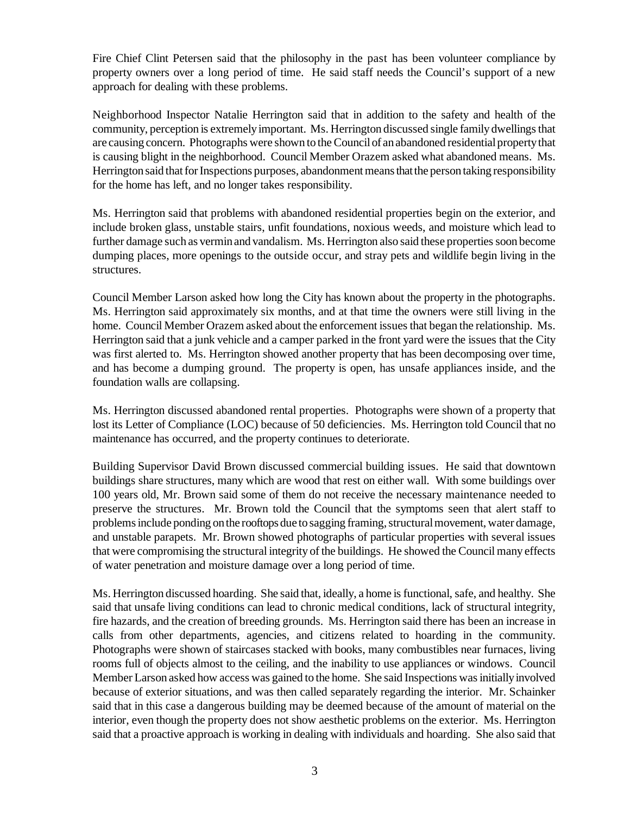Fire Chief Clint Petersen said that the philosophy in the past has been volunteer compliance by property owners over a long period of time. He said staff needs the Council's support of a new approach for dealing with these problems.

Neighborhood Inspector Natalie Herrington said that in addition to the safety and health of the community, perception is extremely important. Ms. Herrington discussed single family dwellings that are causing concern. Photographs were shown to the Council of an abandoned residential property that is causing blight in the neighborhood. Council Member Orazem asked what abandoned means. Ms. Herrington said that for Inspections purposes, abandonment means that the person taking responsibility for the home has left, and no longer takes responsibility.

Ms. Herrington said that problems with abandoned residential properties begin on the exterior, and include broken glass, unstable stairs, unfit foundations, noxious weeds, and moisture which lead to further damage such as vermin and vandalism. Ms. Herrington also said these properties soon become dumping places, more openings to the outside occur, and stray pets and wildlife begin living in the structures.

Council Member Larson asked how long the City has known about the property in the photographs. Ms. Herrington said approximately six months, and at that time the owners were still living in the home. Council Member Orazem asked about the enforcement issues that began the relationship. Ms. Herrington said that a junk vehicle and a camper parked in the front yard were the issues that the City was first alerted to. Ms. Herrington showed another property that has been decomposing over time, and has become a dumping ground. The property is open, has unsafe appliances inside, and the foundation walls are collapsing.

Ms. Herrington discussed abandoned rental properties. Photographs were shown of a property that lost its Letter of Compliance (LOC) because of 50 deficiencies. Ms. Herrington told Council that no maintenance has occurred, and the property continues to deteriorate.

Building Supervisor David Brown discussed commercial building issues. He said that downtown buildings share structures, many which are wood that rest on either wall. With some buildings over 100 years old, Mr. Brown said some of them do not receive the necessary maintenance needed to preserve the structures. Mr. Brown told the Council that the symptoms seen that alert staff to problems include ponding on the rooftops due to sagging framing, structural movement, water damage, and unstable parapets. Mr. Brown showed photographs of particular properties with several issues that were compromising the structural integrity of the buildings. He showed the Council many effects of water penetration and moisture damage over a long period of time.

Ms. Herrington discussed hoarding. She said that, ideally, a home is functional, safe, and healthy. She said that unsafe living conditions can lead to chronic medical conditions, lack of structural integrity, fire hazards, and the creation of breeding grounds. Ms. Herrington said there has been an increase in calls from other departments, agencies, and citizens related to hoarding in the community. Photographs were shown of staircases stacked with books, many combustibles near furnaces, living rooms full of objects almost to the ceiling, and the inability to use appliances or windows. Council Member Larson asked how access was gained to the home. She said Inspections was initially involved because of exterior situations, and was then called separately regarding the interior. Mr. Schainker said that in this case a dangerous building may be deemed because of the amount of material on the interior, even though the property does not show aesthetic problems on the exterior. Ms. Herrington said that a proactive approach is working in dealing with individuals and hoarding. She also said that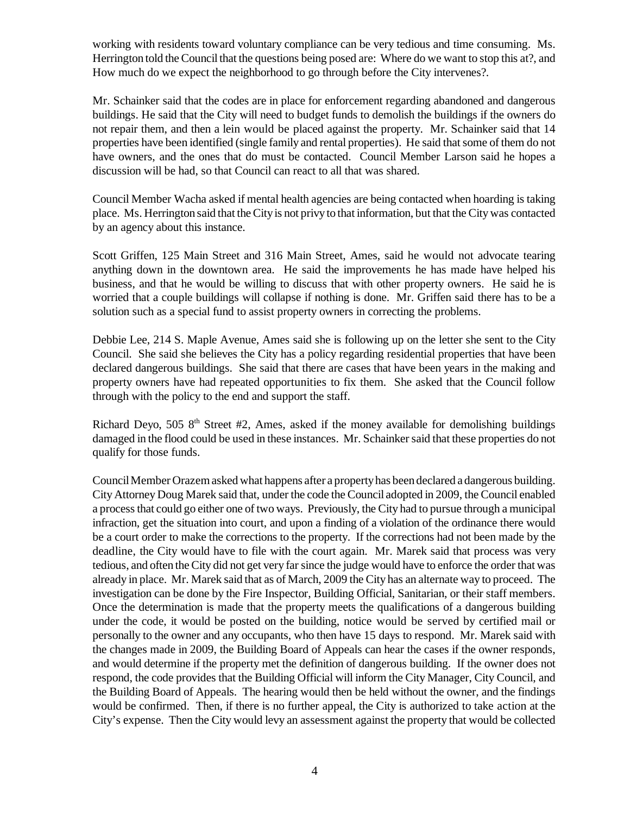working with residents toward voluntary compliance can be very tedious and time consuming. Ms. Herrington told the Council that the questions being posed are: Where do we want to stop this at?, and How much do we expect the neighborhood to go through before the City intervenes?.

Mr. Schainker said that the codes are in place for enforcement regarding abandoned and dangerous buildings. He said that the City will need to budget funds to demolish the buildings if the owners do not repair them, and then a lein would be placed against the property. Mr. Schainker said that 14 properties have been identified (single family and rental properties). He said that some of them do not have owners, and the ones that do must be contacted. Council Member Larson said he hopes a discussion will be had, so that Council can react to all that was shared.

Council Member Wacha asked if mental health agencies are being contacted when hoarding is taking place. Ms. Herrington said that the City is not privy to that information, but that the City was contacted by an agency about this instance.

Scott Griffen, 125 Main Street and 316 Main Street, Ames, said he would not advocate tearing anything down in the downtown area. He said the improvements he has made have helped his business, and that he would be willing to discuss that with other property owners. He said he is worried that a couple buildings will collapse if nothing is done. Mr. Griffen said there has to be a solution such as a special fund to assist property owners in correcting the problems.

Debbie Lee, 214 S. Maple Avenue, Ames said she is following up on the letter she sent to the City Council. She said she believes the City has a policy regarding residential properties that have been declared dangerous buildings. She said that there are cases that have been years in the making and property owners have had repeated opportunities to fix them. She asked that the Council follow through with the policy to the end and support the staff.

Richard Deyo, 505  $8<sup>th</sup>$  Street #2, Ames, asked if the money available for demolishing buildings damaged in the flood could be used in these instances. Mr. Schainker said that these properties do not qualify for those funds.

Council Member Orazem asked what happens after a property has been declared a dangerous building. City Attorney Doug Marek said that, under the code the Council adopted in 2009, the Council enabled a process that could go either one of two ways. Previously, the City had to pursue through a municipal infraction, get the situation into court, and upon a finding of a violation of the ordinance there would be a court order to make the corrections to the property. If the corrections had not been made by the deadline, the City would have to file with the court again. Mr. Marek said that process was very tedious, and often the City did not get very far since the judge would have to enforce the order that was already in place. Mr. Marek said that as of March, 2009 the City has an alternate way to proceed. The investigation can be done by the Fire Inspector, Building Official, Sanitarian, or their staff members. Once the determination is made that the property meets the qualifications of a dangerous building under the code, it would be posted on the building, notice would be served by certified mail or personally to the owner and any occupants, who then have 15 days to respond. Mr. Marek said with the changes made in 2009, the Building Board of Appeals can hear the cases if the owner responds, and would determine if the property met the definition of dangerous building. If the owner does not respond, the code provides that the Building Official will inform the City Manager, City Council, and the Building Board of Appeals. The hearing would then be held without the owner, and the findings would be confirmed. Then, if there is no further appeal, the City is authorized to take action at the City's expense. Then the City would levy an assessment against the property that would be collected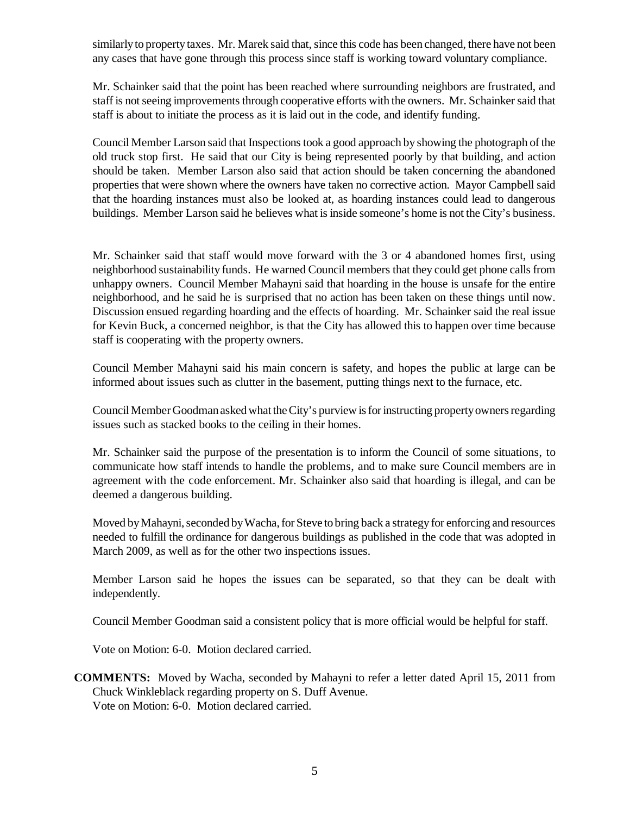similarly to property taxes. Mr. Marek said that, since this code has been changed, there have not been any cases that have gone through this process since staff is working toward voluntary compliance.

Mr. Schainker said that the point has been reached where surrounding neighbors are frustrated, and staff is not seeing improvements through cooperative efforts with the owners. Mr. Schainker said that staff is about to initiate the process as it is laid out in the code, and identify funding.

Council Member Larson said that Inspections took a good approach by showing the photograph of the old truck stop first. He said that our City is being represented poorly by that building, and action should be taken. Member Larson also said that action should be taken concerning the abandoned properties that were shown where the owners have taken no corrective action. Mayor Campbell said that the hoarding instances must also be looked at, as hoarding instances could lead to dangerous buildings. Member Larson said he believes what is inside someone's home is not the City's business.

Mr. Schainker said that staff would move forward with the 3 or 4 abandoned homes first, using neighborhood sustainability funds. He warned Council members that they could get phone calls from unhappy owners. Council Member Mahayni said that hoarding in the house is unsafe for the entire neighborhood, and he said he is surprised that no action has been taken on these things until now. Discussion ensued regarding hoarding and the effects of hoarding. Mr. Schainker said the real issue for Kevin Buck, a concerned neighbor, is that the City has allowed this to happen over time because staff is cooperating with the property owners.

Council Member Mahayni said his main concern is safety, and hopes the public at large can be informed about issues such as clutter in the basement, putting things next to the furnace, etc.

Council Member Goodman asked what the City's purview is for instructing property owners regarding issues such as stacked books to the ceiling in their homes.

Mr. Schainker said the purpose of the presentation is to inform the Council of some situations, to communicate how staff intends to handle the problems, and to make sure Council members are in agreement with the code enforcement. Mr. Schainker also said that hoarding is illegal, and can be deemed a dangerous building.

Moved by Mahayni, seconded by Wacha, for Steve to bring back a strategy for enforcing and resources needed to fulfill the ordinance for dangerous buildings as published in the code that was adopted in March 2009, as well as for the other two inspections issues.

Member Larson said he hopes the issues can be separated, so that they can be dealt with independently.

Council Member Goodman said a consistent policy that is more official would be helpful for staff.

Vote on Motion: 6-0. Motion declared carried.

**COMMENTS:** Moved by Wacha, seconded by Mahayni to refer a letter dated April 15, 2011 from Chuck Winkleblack regarding property on S. Duff Avenue. Vote on Motion: 6-0. Motion declared carried.